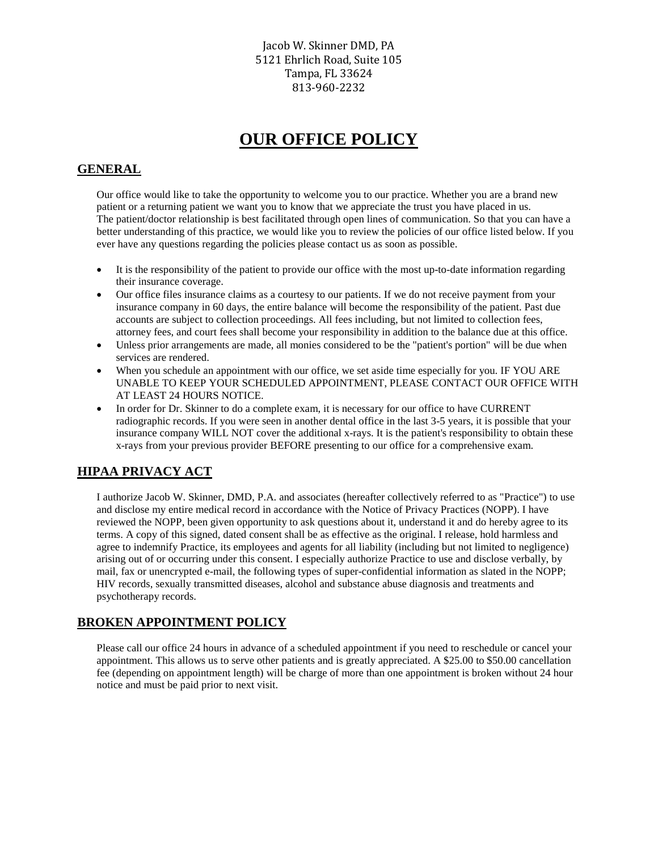Jacob W. Skinner DMD, PA 5121 Ehrlich Road, Suite 105 Tampa, FL 33624 813-960-2232

# **OUR OFFICE POLICY**

### **GENERAL**

Our office would like to take the opportunity to welcome you to our practice. Whether you are a brand new patient or a returning patient we want you to know that we appreciate the trust you have placed in us. The patient/doctor relationship is best facilitated through open lines of communication. So that you can have a better understanding of this practice, we would like you to review the policies of our office listed below. If you ever have any questions regarding the policies please contact us as soon as possible.

- It is the responsibility of the patient to provide our office with the most up-to-date information regarding their insurance coverage.
- Our office files insurance claims as a courtesy to our patients. If we do not receive payment from your insurance company in 60 days, the entire balance will become the responsibility of the patient. Past due accounts are subject to collection proceedings. All fees including, but not limited to collection fees, attorney fees, and court fees shall become your responsibility in addition to the balance due at this office.
- Unless prior arrangements are made, all monies considered to be the "patient's portion" will be due when services are rendered.
- When you schedule an appointment with our office, we set aside time especially for you. IF YOU ARE UNABLE TO KEEP YOUR SCHEDULED APPOINTMENT, PLEASE CONTACT OUR OFFICE WITH AT LEAST 24 HOURS NOTICE.
- In order for Dr. Skinner to do a complete exam, it is necessary for our office to have CURRENT radiographic records. If you were seen in another dental office in the last 3-5 years, it is possible that your insurance company WILL NOT cover the additional x-rays. It is the patient's responsibility to obtain these x-rays from your previous provider BEFORE presenting to our office for a comprehensive exam.

## **HIPAA PRIVACY ACT**

I authorize Jacob W. Skinner, DMD, P.A. and associates (hereafter collectively referred to as "Practice") to use and disclose my entire medical record in accordance with the Notice of Privacy Practices (NOPP). I have reviewed the NOPP, been given opportunity to ask questions about it, understand it and do hereby agree to its terms. A copy of this signed, dated consent shall be as effective as the original. I release, hold harmless and agree to indemnify Practice, its employees and agents for all liability (including but not limited to negligence) arising out of or occurring under this consent. I especially authorize Practice to use and disclose verbally, by mail, fax or unencrypted e-mail, the following types of super-confidential information as slated in the NOPP; HIV records, sexually transmitted diseases, alcohol and substance abuse diagnosis and treatments and psychotherapy records.

#### **BROKEN APPOINTMENT POLICY**

Please call our office 24 hours in advance of a scheduled appointment if you need to reschedule or cancel your appointment. This allows us to serve other patients and is greatly appreciated. A \$25.00 to \$50.00 cancellation fee (depending on appointment length) will be charge of more than one appointment is broken without 24 hour notice and must be paid prior to next visit.